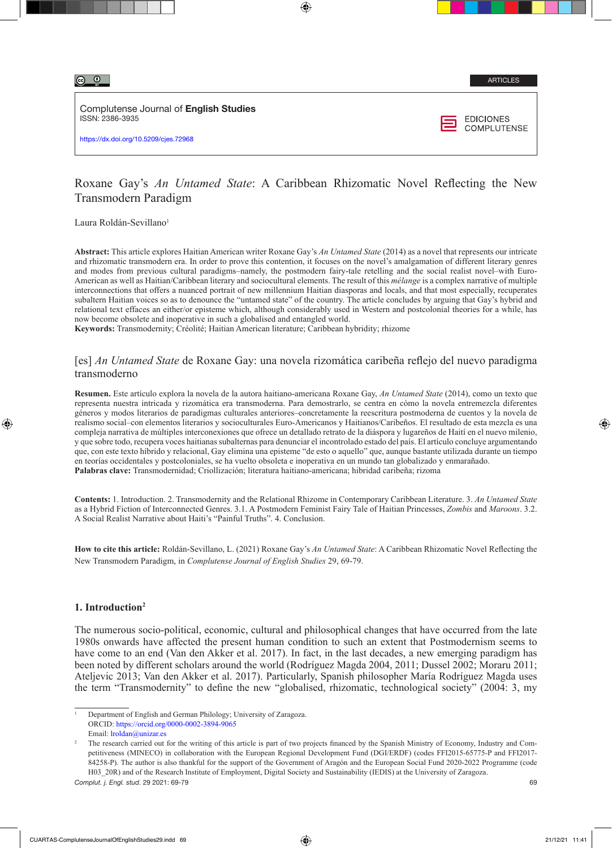Complutense Journal of English Studies ISSN: 2386-3935

https://dx.doi.org/10.5209/cjes.72968



# Roxane Gay's *An Untamed State*: A Caribbean Rhizomatic Novel Reflecting the New Transmodern Paradigm

Laura Roldán-Sevillano<sup>1</sup>

**Abstract:** This article explores Haitian American writer Roxane Gay's *An Untamed State* (2014) as a novel that represents our intricate and rhizomatic transmodern era. In order to prove this contention, it focuses on the novel's amalgamation of different literary genres and modes from previous cultural paradigms–namely, the postmodern fairy-tale retelling and the social realist novel–with Euro-American as well as Haitian/Caribbean literary and sociocultural elements. The result of this *mélange* is a complex narrative of multiple interconnections that offers a nuanced portrait of new millennium Haitian diasporas and locals, and that most especially, recuperates subaltern Haitian voices so as to denounce the "untamed state" of the country. The article concludes by arguing that Gay's hybrid and relational text effaces an either/or episteme which, although considerably used in Western and postcolonial theories for a while, has now become obsolete and inoperative in such a globalised and entangled world.

**Keywords:** Transmodernity; Créolité; Haitian American literature; Caribbean hybridity; rhizome

# [es] *An Untamed State* de Roxane Gay: una novela rizomática caribeña reflejo del nuevo paradigma transmoderno

**Resumen.** Este artículo explora la novela de la autora haitiano-americana Roxane Gay, *An Untamed State* (2014), como un texto que representa nuestra intricada y rizomática era transmoderna. Para demostrarlo, se centra en cómo la novela entremezcla diferentes géneros y modos literarios de paradigmas culturales anteriores–concretamente la reescritura postmoderna de cuentos y la novela de realismo social–con elementos literarios y socioculturales Euro-Americanos y Haitianos/Caribeños. El resultado de esta mezcla es una compleja narrativa de múltiples interconexiones que ofrece un detallado retrato de la diáspora y lugareños de Haití en el nuevo milenio, y que sobre todo, recupera voces haitianas subalternas para denunciar el incontrolado estado del país. El artículo concluye argumentando que, con este texto híbrido y relacional, Gay elimina una episteme "de esto o aquello" que, aunque bastante utilizada durante un tiempo en teorías occidentales y postcoloniales, se ha vuelto obsoleta e inoperativa en un mundo tan globalizado y enmarañado. **Palabras clave:** Transmodernidad; Criollización; literatura haitiano-americana; hibridad caribeña; rizoma

**Contents:** 1. Introduction. 2. Transmodernity and the Relational Rhizome in Contemporary Caribbean Literature. 3. *An Untamed State* as a Hybrid Fiction of Interconnected Genres. 3.1. A Postmodern Feminist Fairy Tale of Haitian Princesses, *Zombis* and *Maroons*. 3.2. A Social Realist Narrative about Haiti's "Painful Truths". 4. Conclusion.

**How to cite this article:** Roldán-Sevillano, L. (2021) Roxane Gay's *An Untamed State*: A Caribbean Rhizomatic Novel Reflecting the New Transmodern Paradigm, in *Complutense Journal of English Studies* 29, 69-79.

## **1. Introduction2**

The numerous socio-political, economic, cultural and philosophical changes that have occurred from the late 1980s onwards have affected the present human condition to such an extent that Postmodernism seems to have come to an end (Van den Akker et al. 2017). In fact, in the last decades, a new emerging paradigm has been noted by different scholars around the world (Rodríguez Magda 2004, 2011; Dussel 2002; Moraru 2011; Ateljevic 2013; Van den Akker et al. 2017). Particularly, Spanish philosopher María Rodríguez Magda uses the term "Transmodernity" to define the new "globalised, rhizomatic, technological society" (2004: 3, my

<sup>1</sup> Department of English and German Philology; University of Zaragoza. ORCID:<https://orcid.org/0000-0002-3894-9065> Email: [lroldan@unizar.es](mailto:lroldan@unizar.es)

*Complut. j. Engl. stud.* 29 2021: 69-79 69 <sup>2</sup> The research carried out for the writing of this article is part of two projects financed by the Spanish Ministry of Economy, Industry and Competitiveness (MINECO) in collaboration with the European Regional Development Fund (DGI/ERDF) (codes FFI2015-65775-P and FFI2017- 84258-P). The author is also thankful for the support of the Government of Aragón and the European Social Fund 2020-2022 Programme (code H03 20R) and of the Research Institute of Employment, Digital Society and Sustainability (IEDIS) at the University of Zaragoza.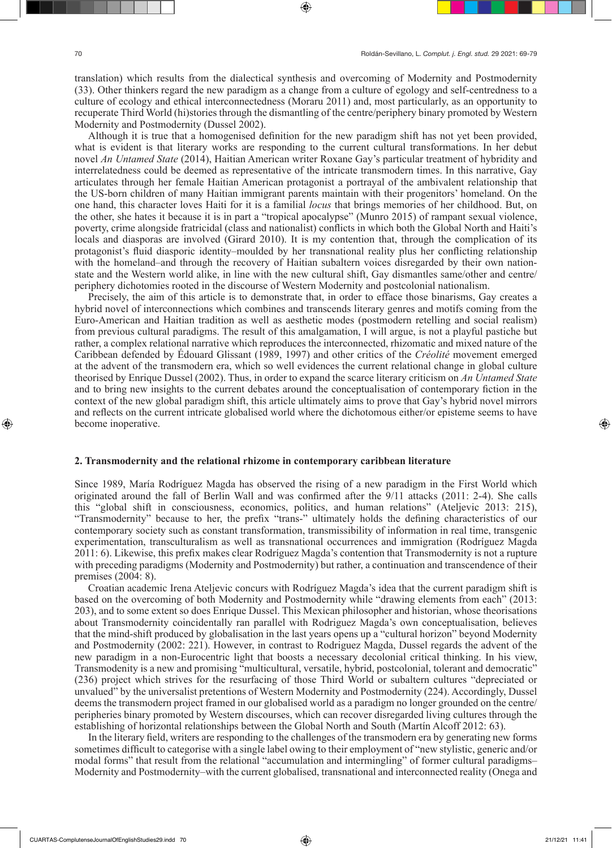translation) which results from the dialectical synthesis and overcoming of Modernity and Postmodernity (33). Other thinkers regard the new paradigm as a change from a culture of egology and self-centredness to a culture of ecology and ethical interconnectedness (Moraru 2011) and, most particularly, as an opportunity to recuperate Third World (hi)stories through the dismantling of the centre/periphery binary promoted by Western Modernity and Postmodernity (Dussel 2002).

Although it is true that a homogenised definition for the new paradigm shift has not yet been provided, what is evident is that literary works are responding to the current cultural transformations. In her debut novel *An Untamed State* (2014), Haitian American writer Roxane Gay's particular treatment of hybridity and interrelatedness could be deemed as representative of the intricate transmodern times. In this narrative, Gay articulates through her female Haitian American protagonist a portrayal of the ambivalent relationship that the US-born children of many Haitian immigrant parents maintain with their progenitors' homeland. On the one hand, this character loves Haiti for it is a familial *locus* that brings memories of her childhood. But, on the other, she hates it because it is in part a "tropical apocalypse" (Munro 2015) of rampant sexual violence, poverty, crime alongside fratricidal (class and nationalist) conflicts in which both the Global North and Haiti's locals and diasporas are involved (Girard 2010). It is my contention that, through the complication of its protagonist's fluid diasporic identity–moulded by her transnational reality plus her conflicting relationship with the homeland–and through the recovery of Haitian subaltern voices disregarded by their own nationstate and the Western world alike, in line with the new cultural shift, Gay dismantles same/other and centre/ periphery dichotomies rooted in the discourse of Western Modernity and postcolonial nationalism.

Precisely, the aim of this article is to demonstrate that, in order to efface those binarisms, Gay creates a hybrid novel of interconnections which combines and transcends literary genres and motifs coming from the Euro-American and Haitian tradition as well as aesthetic modes (postmodern retelling and social realism) from previous cultural paradigms. The result of this amalgamation, I will argue, is not a playful pastiche but rather, a complex relational narrative which reproduces the interconnected, rhizomatic and mixed nature of the Caribbean defended by Édouard Glissant (1989, 1997) and other critics of the *Créolité* movement emerged at the advent of the transmodern era, which so well evidences the current relational change in global culture theorised by Enrique Dussel (2002). Thus, in order to expand the scarce literary criticism on *An Untamed State* and to bring new insights to the current debates around the conceptualisation of contemporary fiction in the context of the new global paradigm shift, this article ultimately aims to prove that Gay's hybrid novel mirrors and reflects on the current intricate globalised world where the dichotomous either/or episteme seems to have become inoperative.

#### **2. Transmodernity and the relational rhizome in contemporary caribbean literature**

Since 1989, María Rodríguez Magda has observed the rising of a new paradigm in the First World which originated around the fall of Berlin Wall and was confirmed after the 9/11 attacks (2011: 2-4). She calls this "global shift in consciousness, economics, politics, and human relations" (Ateljevic 2013: 215), "Transmodernity" because to her, the prefix "trans-" ultimately holds the defining characteristics of our contemporary society such as constant transformation, transmissibility of information in real time, transgenic experimentation, transculturalism as well as transnational occurrences and immigration (Rodríguez Magda 2011: 6). Likewise, this prefix makes clear Rodríguez Magda's contention that Transmodernity is not a rupture with preceding paradigms (Modernity and Postmodernity) but rather, a continuation and transcendence of their premises (2004: 8).

Croatian academic Irena Ateljevic concurs with Rodríguez Magda's idea that the current paradigm shift is based on the overcoming of both Modernity and Postmodernity while "drawing elements from each" (2013: 203), and to some extent so does Enrique Dussel. This Mexican philosopher and historian, whose theorisations about Transmodernity coincidentally ran parallel with Rodriguez Magda's own conceptualisation, believes that the mind-shift produced by globalisation in the last years opens up a "cultural horizon" beyond Modernity and Postmodernity (2002: 221). However, in contrast to Rodriguez Magda, Dussel regards the advent of the new paradigm in a non-Eurocentric light that boosts a necessary decolonial critical thinking. In his view, Transmodenity is a new and promising "multicultural, versatile, hybrid, postcolonial, tolerant and democratic" (236) project which strives for the resurfacing of those Third World or subaltern cultures "depreciated or unvalued" by the universalist pretentions of Western Modernity and Postmodernity (224). Accordingly, Dussel deems the transmodern project framed in our globalised world as a paradigm no longer grounded on the centre/ peripheries binary promoted by Western discourses, which can recover disregarded living cultures through the establishing of horizontal relationships between the Global North and South (Martín Alcoff 2012: 63).

In the literary field, writers are responding to the challenges of the transmodern era by generating new forms sometimes difficult to categorise with a single label owing to their employment of "new stylistic, generic and/or modal forms" that result from the relational "accumulation and intermingling" of former cultural paradigms– Modernity and Postmodernity–with the current globalised, transnational and interconnected reality (Onega and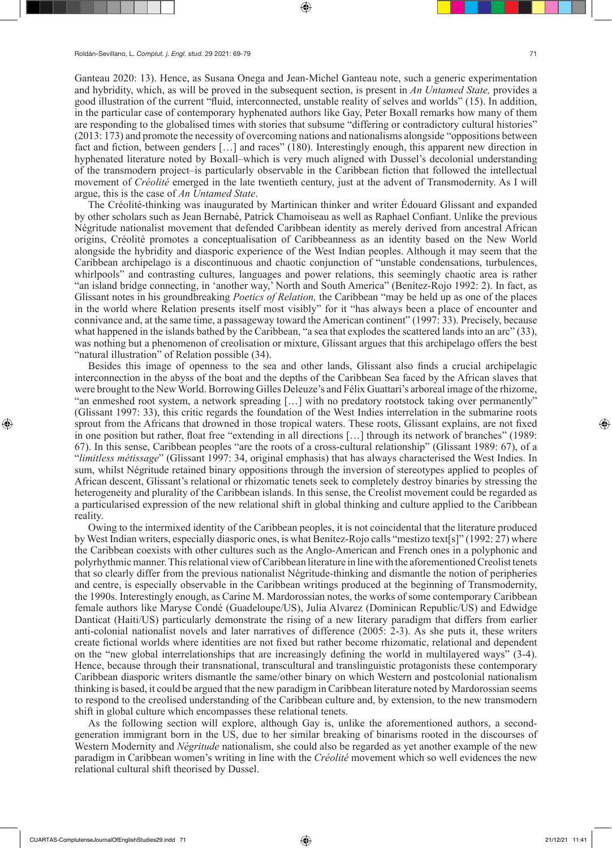Ganteau 2020: 13). Hence, as Susana Onega and Jean-Michel Ganteau note, such a generic experimentation and hybridity, which, as will be proved in the subsequent section, is present in *An Untamed State,* provides a good illustration of the current "fluid, interconnected, unstable reality of selves and worlds" (15). In addition, in the particular case of contemporary hyphenated authors like Gay, Peter Boxall remarks how many of them are responding to the globalised times with stories that subsume "differing or contradictory cultural histories" (2013: 173) and promote the necessity of overcoming nations and nationalisms alongside "oppositions between fact and fiction, between genders […] and races" (180). Interestingly enough, this apparent new direction in hyphenated literature noted by Boxall–which is very much aligned with Dussel's decolonial understanding of the transmodern project–is particularly observable in the Caribbean fiction that followed the intellectual movement of *Créolité* emerged in the late twentieth century, just at the advent of Transmodernity. As I will argue, this is the case of *An Untamed State*.

The Créolité-thinking was inaugurated by Martinican thinker and writer Édouard Glissant and expanded by other scholars such as Jean Bernabé, Patrick Chamoiseau as well as Raphael Confiant. Unlike the previous Négritude nationalist movement that defended Caribbean identity as merely derived from ancestral African origins, Créolité promotes a conceptualisation of Caribbeanness as an identity based on the New World alongside the hybridity and diasporic experience of the West Indian peoples. Although it may seem that the Caribbean archipelago is a discontinuous and chaotic conjunction of "unstable condensations, turbulences, whirlpools" and contrasting cultures, languages and power relations, this seemingly chaotic area is rather "an island bridge connecting, in 'another way,' North and South America" (Benítez-Rojo 1992: 2). In fact, as Glissant notes in his groundbreaking *Poetics of Relation,* the Caribbean "may be held up as one of the places in the world where Relation presents itself most visibly" for it "has always been a place of encounter and connivance and, at the same time, a passageway toward the American continent" (1997: 33). Precisely, because what happened in the islands bathed by the Caribbean, "a sea that explodes the scattered lands into an arc" (33), was nothing but a phenomenon of creolisation or mixture, Glissant argues that this archipelago offers the best "natural illustration" of Relation possible (34).

Besides this image of openness to the sea and other lands, Glissant also finds a crucial archipelagic interconnection in the abyss of the boat and the depths of the Caribbean Sea faced by the African slaves that were brought to the New World. Borrowing Gilles Deleuze's and Félix Guattari's arboreal image of the rhizome, "an enmeshed root system, a network spreading […] with no predatory rootstock taking over permanently" (Glissant 1997: 33), this critic regards the foundation of the West Indies interrelation in the submarine roots sprout from the Africans that drowned in those tropical waters. These roots, Glissant explains, are not fixed in one position but rather, float free "extending in all directions […] through its network of branches" (1989: 67). In this sense, Caribbean peoples "are the roots of a cross-cultural relationship" (Glissant 1989: 67), of a "*limitless métissage*" (Glissant 1997: 34, original emphasis) that has always characterised the West Indies. In sum, whilst Négritude retained binary oppositions through the inversion of stereotypes applied to peoples of African descent, Glissant's relational or rhizomatic tenets seek to completely destroy binaries by stressing the heterogeneity and plurality of the Caribbean islands. In this sense, the Creolist movement could be regarded as a particularised expression of the new relational shift in global thinking and culture applied to the Caribbean reality.

Owing to the intermixed identity of the Caribbean peoples, it is not coincidental that the literature produced by West Indian writers, especially diasporic ones, is what Benítez-Rojo calls "mestizo text[s]" (1992: 27) where the Caribbean coexists with other cultures such as the Anglo-American and French ones in a polyphonic and polyrhythmic manner. This relational view of Caribbean literature in line with the aforementioned Creolist tenets that so clearly differ from the previous nationalist Négritude-thinking and dismantle the notion of peripheries and centre, is especially observable in the Caribbean writings produced at the beginning of Transmodernity, the 1990s. Interestingly enough, as Carine M. Mardorossian notes, the works of some contemporary Caribbean female authors like Maryse Condé (Guadeloupe/US), Julia Alvarez (Dominican Republic/US) and Edwidge Danticat (Haiti/US) particularly demonstrate the rising of a new literary paradigm that differs from earlier anti-colonial nationalist novels and later narratives of difference (2005: 2-3). As she puts it, these writers create fictional worlds where identities are not fixed but rather become rhizomatic, relational and dependent on the "new global interrelationships that are increasingly defining the world in multilayered ways" (3-4). Hence, because through their transnational, transcultural and translinguistic protagonists these contemporary Caribbean diasporic writers dismantle the same/other binary on which Western and postcolonial nationalism thinking is based, it could be argued that the new paradigm in Caribbean literature noted by Mardorossian seems to respond to the creolised understanding of the Caribbean culture and, by extension, to the new transmodern shift in global culture which encompasses these relational tenets.

As the following section will explore, although Gay is, unlike the aforementioned authors, a secondgeneration immigrant born in the US, due to her similar breaking of binarisms rooted in the discourses of Western Modernity and *Négritude* nationalism, she could also be regarded as yet another example of the new paradigm in Caribbean women's writing in line with the *Créolité* movement which so well evidences the new relational cultural shift theorised by Dussel.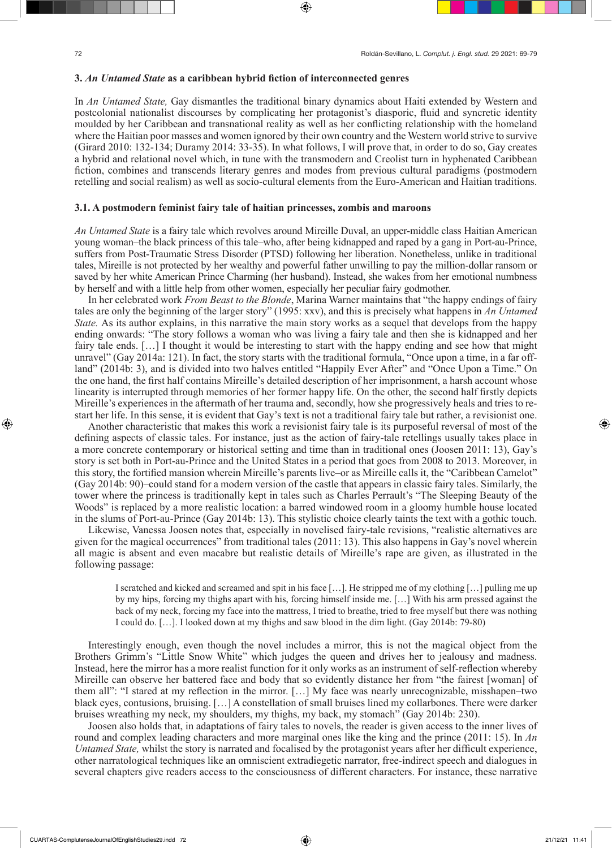### **3.** *An Untamed State* **as a caribbean hybrid fiction of interconnected genres**

In *An Untamed State,* Gay dismantles the traditional binary dynamics about Haiti extended by Western and postcolonial nationalist discourses by complicating her protagonist's diasporic, fluid and syncretic identity moulded by her Caribbean and transnational reality as well as her conflicting relationship with the homeland where the Haitian poor masses and women ignored by their own country and the Western world strive to survive (Girard 2010: 132-134; Duramy 2014: 33-35). In what follows, I will prove that, in order to do so, Gay creates a hybrid and relational novel which, in tune with the transmodern and Creolist turn in hyphenated Caribbean fiction, combines and transcends literary genres and modes from previous cultural paradigms (postmodern retelling and social realism) as well as socio-cultural elements from the Euro-American and Haitian traditions.

#### **3.1. A postmodern feminist fairy tale of haitian princesses, zombis and maroons**

*An Untamed State* is a fairy tale which revolves around Mireille Duval, an upper-middle class Haitian American young woman–the black princess of this tale–who, after being kidnapped and raped by a gang in Port-au-Prince, suffers from Post-Traumatic Stress Disorder (PTSD) following her liberation. Nonetheless, unlike in traditional tales, Mireille is not protected by her wealthy and powerful father unwilling to pay the million-dollar ransom or saved by her white American Prince Charming (her husband). Instead, she wakes from her emotional numbness by herself and with a little help from other women, especially her peculiar fairy godmother.

In her celebrated work *From Beast to the Blonde*, Marina Warner maintains that "the happy endings of fairy tales are only the beginning of the larger story" (1995: xxv), and this is precisely what happens in *An Untamed State.* As its author explains, in this narrative the main story works as a sequel that develops from the happy ending onwards: "The story follows a woman who was living a fairy tale and then she is kidnapped and her fairy tale ends. […] I thought it would be interesting to start with the happy ending and see how that might unravel" (Gay 2014a: 121). In fact, the story starts with the traditional formula, "Once upon a time, in a far offland" (2014b: 3), and is divided into two halves entitled "Happily Ever After" and "Once Upon a Time." On the one hand, the first half contains Mireille's detailed description of her imprisonment, a harsh account whose linearity is interrupted through memories of her former happy life. On the other, the second half firstly depicts Mireille's experiences in the aftermath of her trauma and, secondly, how she progressively heals and tries to restart her life. In this sense, it is evident that Gay's text is not a traditional fairy tale but rather, a revisionist one.

Another characteristic that makes this work a revisionist fairy tale is its purposeful reversal of most of the defining aspects of classic tales. For instance, just as the action of fairy-tale retellings usually takes place in a more concrete contemporary or historical setting and time than in traditional ones (Joosen 2011: 13), Gay's story is set both in Port-au-Prince and the United States in a period that goes from 2008 to 2013. Moreover, in this story, the fortified mansion wherein Mireille's parents live–or as Mireille calls it, the "Caribbean Camelot" (Gay 2014b: 90)–could stand for a modern version of the castle that appears in classic fairy tales. Similarly, the tower where the princess is traditionally kept in tales such as Charles Perrault's "The Sleeping Beauty of the Woods" is replaced by a more realistic location: a barred windowed room in a gloomy humble house located in the slums of Port-au-Prince (Gay 2014b: 13). This stylistic choice clearly taints the text with a gothic touch.

Likewise, Vanessa Joosen notes that, especially in novelised fairy-tale revisions, "realistic alternatives are given for the magical occurrences" from traditional tales (2011: 13). This also happens in Gay's novel wherein all magic is absent and even macabre but realistic details of Mireille's rape are given, as illustrated in the following passage:

I scratched and kicked and screamed and spit in his face […]. He stripped me of my clothing […] pulling me up by my hips, forcing my thighs apart with his, forcing himself inside me. […] With his arm pressed against the back of my neck, forcing my face into the mattress, I tried to breathe, tried to free myself but there was nothing I could do. […]. I looked down at my thighs and saw blood in the dim light. (Gay 2014b: 79-80)

Interestingly enough, even though the novel includes a mirror, this is not the magical object from the Brothers Grimm's "Little Snow White" which judges the queen and drives her to jealousy and madness. Instead, here the mirror has a more realist function for it only works as an instrument of self-reflection whereby Mireille can observe her battered face and body that so evidently distance her from "the fairest [woman] of them all": "I stared at my reflection in the mirror. […] My face was nearly unrecognizable, misshapen–two black eyes, contusions, bruising. […] A constellation of small bruises lined my collarbones. There were darker bruises wreathing my neck, my shoulders, my thighs, my back, my stomach" (Gay 2014b: 230).

Joosen also holds that, in adaptations of fairy tales to novels, the reader is given access to the inner lives of round and complex leading characters and more marginal ones like the king and the prince (2011: 15). In *An Untamed State,* whilst the story is narrated and focalised by the protagonist years after her difficult experience, other narratological techniques like an omniscient extradiegetic narrator, free-indirect speech and dialogues in several chapters give readers access to the consciousness of different characters. For instance, these narrative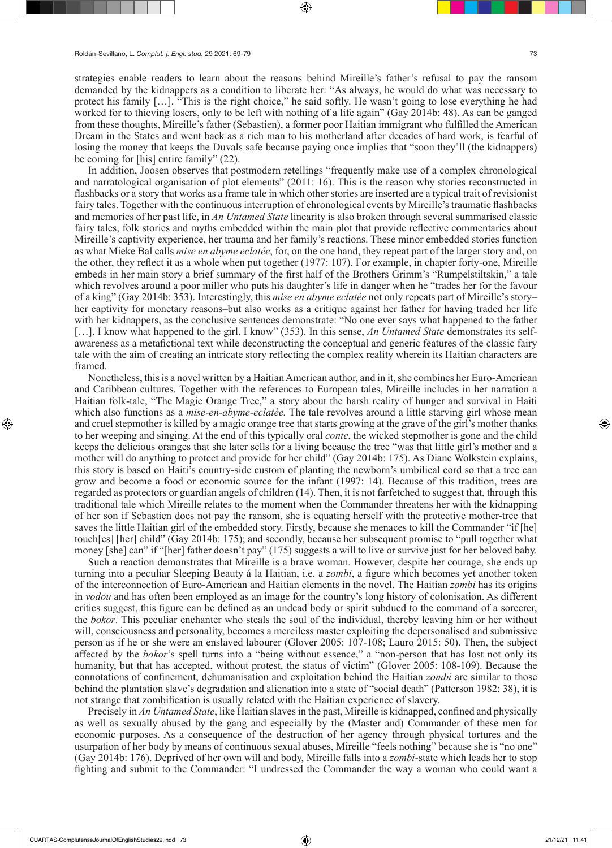strategies enable readers to learn about the reasons behind Mireille's father's refusal to pay the ransom demanded by the kidnappers as a condition to liberate her: "As always, he would do what was necessary to protect his family […]. "This is the right choice," he said softly. He wasn't going to lose everything he had worked for to thieving losers, only to be left with nothing of a life again" (Gay 2014b: 48). As can be ganged from these thoughts, Mireille's father (Sebastien), a former poor Haitian immigrant who fulfilled the American Dream in the States and went back as a rich man to his motherland after decades of hard work, is fearful of losing the money that keeps the Duvals safe because paying once implies that "soon they'll (the kidnappers) be coming for [his] entire family" (22).

In addition, Joosen observes that postmodern retellings "frequently make use of a complex chronological and narratological organisation of plot elements" (2011: 16). This is the reason why stories reconstructed in flashbacks or a story that works as a frame tale in which other stories are inserted are a typical trait of revisionist fairy tales. Together with the continuous interruption of chronological events by Mireille's traumatic flashbacks and memories of her past life, in *An Untamed State* linearity is also broken through several summarised classic fairy tales, folk stories and myths embedded within the main plot that provide reflective commentaries about Mireille's captivity experience, her trauma and her family's reactions. These minor embedded stories function as what Mieke Bal calls *mise en abyme eclatée*, for, on the one hand, they repeat part of the larger story and, on the other, they reflect it as a whole when put together (1977: 107). For example, in chapter forty-one, Mireille embeds in her main story a brief summary of the first half of the Brothers Grimm's "Rumpelstiltskin," a tale which revolves around a poor miller who puts his daughter's life in danger when he "trades her for the favour of a king" (Gay 2014b: 353). Interestingly, this *mise en abyme eclatée* not only repeats part of Mireille's story– her captivity for monetary reasons–but also works as a critique against her father for having traded her life with her kidnappers, as the conclusive sentences demonstrate: "No one ever says what happened to the father [...]. I know what happened to the girl. I know" (353). In this sense, *An Untamed State* demonstrates its selfawareness as a metafictional text while deconstructing the conceptual and generic features of the classic fairy tale with the aim of creating an intricate story reflecting the complex reality wherein its Haitian characters are framed.

Nonetheless, this is a novel written by a Haitian American author, and in it, she combines her Euro-American and Caribbean cultures. Together with the references to European tales, Mireille includes in her narration a Haitian folk-tale, "The Magic Orange Tree," a story about the harsh reality of hunger and survival in Haiti which also functions as a *mise-en-abyme-eclatée.* The tale revolves around a little starving girl whose mean and cruel stepmother is killed by a magic orange tree that starts growing at the grave of the girl's mother thanks to her weeping and singing. At the end of this typically oral *conte*, the wicked stepmother is gone and the child keeps the delicious oranges that she later sells for a living because the tree "was that little girl's mother and a mother will do anything to protect and provide for her child" (Gay 2014b: 175). As Diane Wolkstein explains, this story is based on Haiti's country-side custom of planting the newborn's umbilical cord so that a tree can grow and become a food or economic source for the infant (1997: 14). Because of this tradition, trees are regarded as protectors or guardian angels of children (14). Then, it is not farfetched to suggest that, through this traditional tale which Mireille relates to the moment when the Commander threatens her with the kidnapping of her son if Sebastien does not pay the ransom, she is equating herself with the protective mother-tree that saves the little Haitian girl of the embedded story. Firstly, because she menaces to kill the Commander "if [he] touch[es] [her] child" (Gay 2014b: 175); and secondly, because her subsequent promise to "pull together what money [she] can" if "[her] father doesn't pay" (175) suggests a will to live or survive just for her beloved baby.

Such a reaction demonstrates that Mireille is a brave woman. However, despite her courage, she ends up turning into a peculiar Sleeping Beauty á la Haitian, i.e. a *zombi*, a figure which becomes yet another token of the interconnection of Euro-American and Haitian elements in the novel. The Haitian *zombi* has its origins in *vodou* and has often been employed as an image for the country's long history of colonisation. As different critics suggest, this figure can be defined as an undead body or spirit subdued to the command of a sorcerer, the *bokor*. This peculiar enchanter who steals the soul of the individual, thereby leaving him or her without will, consciousness and personality, becomes a merciless master exploiting the depersonalised and submissive person as if he or she were an enslaved labourer (Glover 2005: 107-108; Lauro 2015: 50). Then, the subject affected by the *bokor*'s spell turns into a "being without essence," a "non-person that has lost not only its humanity, but that has accepted, without protest, the status of victim" (Glover 2005: 108-109). Because the connotations of confinement, dehumanisation and exploitation behind the Haitian *zombi* are similar to those behind the plantation slave's degradation and alienation into a state of "social death" (Patterson 1982: 38), it is not strange that zombification is usually related with the Haitian experience of slavery.

Precisely in *An Untamed State*, like Haitian slaves in the past, Mireille is kidnapped, confined and physically as well as sexually abused by the gang and especially by the (Master and) Commander of these men for economic purposes. As a consequence of the destruction of her agency through physical tortures and the usurpation of her body by means of continuous sexual abuses, Mireille "feels nothing" because she is "no one" (Gay 2014b: 176). Deprived of her own will and body, Mireille falls into a *zombi-*state which leads her to stop fighting and submit to the Commander: "I undressed the Commander the way a woman who could want a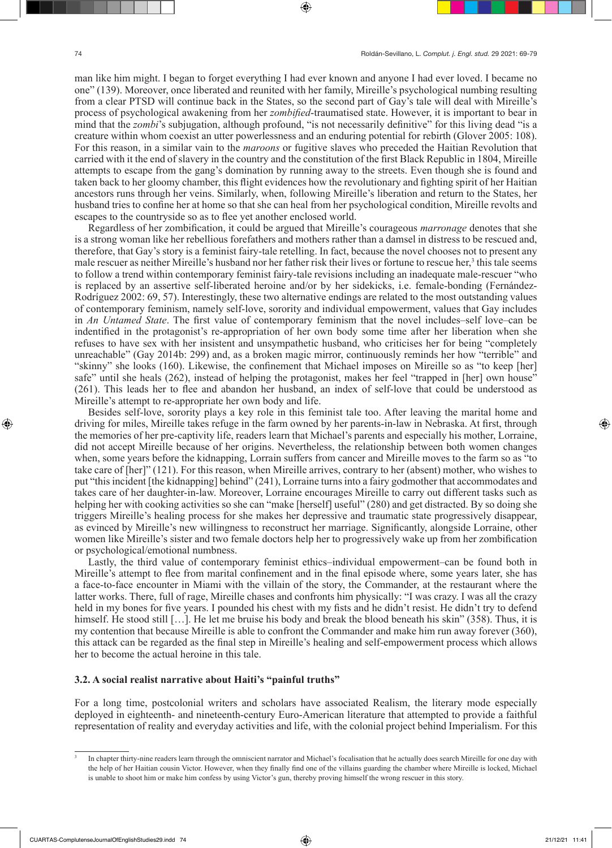man like him might. I began to forget everything I had ever known and anyone I had ever loved. I became no one" (139). Moreover, once liberated and reunited with her family, Mireille's psychological numbing resulting from a clear PTSD will continue back in the States, so the second part of Gay's tale will deal with Mireille's process of psychological awakening from her *zombified*-traumatised state. However, it is important to bear in mind that the *zombi*'s subjugation, although profound, "is not necessarily definitive" for this living dead "is a creature within whom coexist an utter powerlessness and an enduring potential for rebirth (Glover 2005: 108). For this reason, in a similar vain to the *maroons* or fugitive slaves who preceded the Haitian Revolution that carried with it the end of slavery in the country and the constitution of the first Black Republic in 1804, Mireille attempts to escape from the gang's domination by running away to the streets. Even though she is found and taken back to her gloomy chamber, this flight evidences how the revolutionary and fighting spirit of her Haitian ancestors runs through her veins. Similarly, when, following Mireille's liberation and return to the States, her husband tries to confine her at home so that she can heal from her psychological condition, Mireille revolts and escapes to the countryside so as to flee yet another enclosed world.

Regardless of her zombification, it could be argued that Mireille's courageous *marronage* denotes that she is a strong woman like her rebellious forefathers and mothers rather than a damsel in distress to be rescued and, therefore, that Gay's story is a feminist fairy-tale retelling. In fact, because the novel chooses not to present any male rescuer as neither Mireille's husband nor her father risk their lives or fortune to rescue her,<sup>3</sup> this tale seems to follow a trend within contemporary feminist fairy-tale revisions including an inadequate male-rescuer "who is replaced by an assertive self-liberated heroine and/or by her sidekicks, i.e. female-bonding (Fernández-Rodríguez 2002: 69, 57). Interestingly, these two alternative endings are related to the most outstanding values of contemporary feminism, namely self-love, sorority and individual empowerment, values that Gay includes in *An Untamed State*. The first value of contemporary feminism that the novel includes–self love–can be indentified in the protagonist's re-appropriation of her own body some time after her liberation when she refuses to have sex with her insistent and unsympathetic husband, who criticises her for being "completely unreachable" (Gay 2014b: 299) and, as a broken magic mirror, continuously reminds her how "terrible" and "skinny" she looks (160). Likewise, the confinement that Michael imposes on Mireille so as "to keep [her] safe" until she heals (262), instead of helping the protagonist, makes her feel "trapped in [her] own house" (261). This leads her to flee and abandon her husband, an index of self-love that could be understood as Mireille's attempt to re-appropriate her own body and life.

Besides self-love, sorority plays a key role in this feminist tale too. After leaving the marital home and driving for miles, Mireille takes refuge in the farm owned by her parents-in-law in Nebraska. At first, through the memories of her pre-captivity life, readers learn that Michael's parents and especially his mother, Lorraine, did not accept Mireille because of her origins. Nevertheless, the relationship between both women changes when, some years before the kidnapping, Lorrain suffers from cancer and Mireille moves to the farm so as "to take care of [her]" (121). For this reason, when Mireille arrives, contrary to her (absent) mother, who wishes to put "this incident [the kidnapping] behind" (241), Lorraine turns into a fairy godmother that accommodates and takes care of her daughter-in-law. Moreover, Lorraine encourages Mireille to carry out different tasks such as helping her with cooking activities so she can "make [herself] useful" (280) and get distracted. By so doing she triggers Mireille's healing process for she makes her depressive and traumatic state progressively disappear, as evinced by Mireille's new willingness to reconstruct her marriage. Significantly, alongside Lorraine, other women like Mireille's sister and two female doctors help her to progressively wake up from her zombification or psychological/emotional numbness.

Lastly, the third value of contemporary feminist ethics–individual empowerment–can be found both in Mireille's attempt to flee from marital confinement and in the final episode where, some years later, she has a face-to-face encounter in Miami with the villain of the story, the Commander, at the restaurant where the latter works. There, full of rage, Mireille chases and confronts him physically: "I was crazy. I was all the crazy held in my bones for five years. I pounded his chest with my fists and he didn't resist. He didn't try to defend himself. He stood still […]. He let me bruise his body and break the blood beneath his skin" (358). Thus, it is my contention that because Mireille is able to confront the Commander and make him run away forever (360), this attack can be regarded as the final step in Mireille's healing and self-empowerment process which allows her to become the actual heroine in this tale.

#### **3.2. A social realist narrative about Haiti's "painful truths"**

For a long time, postcolonial writers and scholars have associated Realism, the literary mode especially deployed in eighteenth- and nineteenth-century Euro-American literature that attempted to provide a faithful representation of reality and everyday activities and life, with the colonial project behind Imperialism. For this

<sup>3</sup> In chapter thirty-nine readers learn through the omniscient narrator and Michael's focalisation that he actually does search Mireille for one day with the help of her Haitian cousin Victor. However, when they finally find one of the villains guarding the chamber where Mireille is locked, Michael is unable to shoot him or make him confess by using Victor's gun, thereby proving himself the wrong rescuer in this story.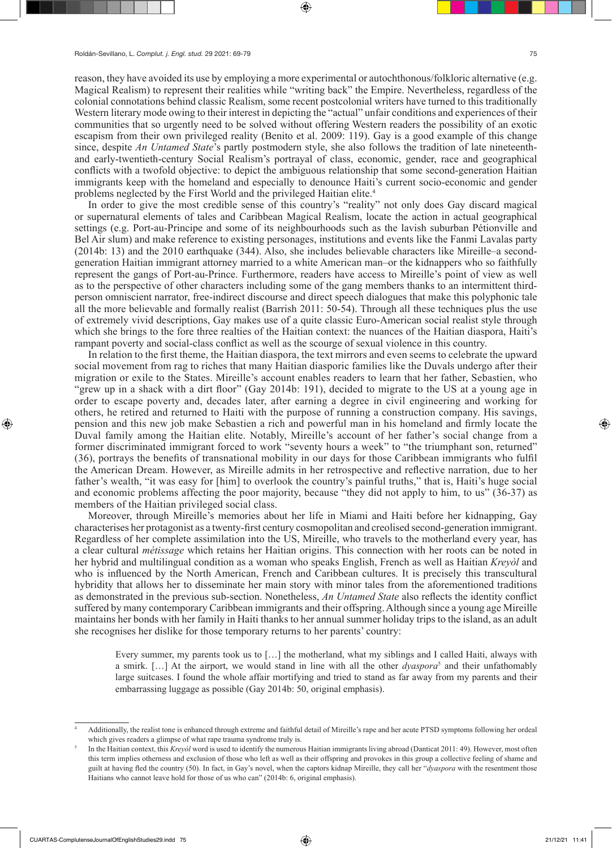reason, they have avoided its use by employing a more experimental or autochthonous/folkloric alternative (e.g. Magical Realism) to represent their realities while "writing back" the Empire. Nevertheless, regardless of the colonial connotations behind classic Realism, some recent postcolonial writers have turned to this traditionally Western literary mode owing to their interest in depicting the "actual" unfair conditions and experiences of their communities that so urgently need to be solved without offering Western readers the possibility of an exotic escapism from their own privileged reality (Benito et al. 2009: 119). Gay is a good example of this change since, despite *An Untamed State*'s partly postmodern style, she also follows the tradition of late nineteenthand early-twentieth-century Social Realism's portrayal of class, economic, gender, race and geographical conflicts with a twofold objective: to depict the ambiguous relationship that some second-generation Haitian immigrants keep with the homeland and especially to denounce Haiti's current socio-economic and gender problems neglected by the First World and the privileged Haitian elite.<sup>4</sup>

In order to give the most credible sense of this country's "reality" not only does Gay discard magical or supernatural elements of tales and Caribbean Magical Realism, locate the action in actual geographical settings (e.g. Port-au-Principe and some of its neighbourhoods such as the lavish suburban Pétionville and Bel Air slum) and make reference to existing personages, institutions and events like the Fanmi Lavalas party (2014b: 13) and the 2010 earthquake (344). Also, she includes believable characters like Mireille–a secondgeneration Haitian immigrant attorney married to a white American man–or the kidnappers who so faithfully represent the gangs of Port-au-Prince. Furthermore, readers have access to Mireille's point of view as well as to the perspective of other characters including some of the gang members thanks to an intermittent thirdperson omniscient narrator, free-indirect discourse and direct speech dialogues that make this polyphonic tale all the more believable and formally realist (Barrish 2011: 50-54). Through all these techniques plus the use of extremely vivid descriptions, Gay makes use of a quite classic Euro-American social realist style through which she brings to the fore three realties of the Haitian context: the nuances of the Haitian diaspora, Haiti's rampant poverty and social-class conflict as well as the scourge of sexual violence in this country.

In relation to the first theme, the Haitian diaspora, the text mirrors and even seems to celebrate the upward social movement from rag to riches that many Haitian diasporic families like the Duvals undergo after their migration or exile to the States. Mireille's account enables readers to learn that her father, Sebastien, who "grew up in a shack with a dirt floor" (Gay 2014b: 191), decided to migrate to the US at a young age in order to escape poverty and, decades later, after earning a degree in civil engineering and working for others, he retired and returned to Haiti with the purpose of running a construction company. His savings, pension and this new job make Sebastien a rich and powerful man in his homeland and firmly locate the Duval family among the Haitian elite. Notably, Mireille's account of her father's social change from a former discriminated immigrant forced to work "seventy hours a week" to "the triumphant son, returned" (36), portrays the benefits of transnational mobility in our days for those Caribbean immigrants who fulfil the American Dream. However, as Mireille admits in her retrospective and reflective narration, due to her father's wealth, "it was easy for [him] to overlook the country's painful truths," that is, Haiti's huge social and economic problems affecting the poor majority, because "they did not apply to him, to us" (36-37) as members of the Haitian privileged social class.

Moreover, through Mireille's memories about her life in Miami and Haiti before her kidnapping, Gay characterises her protagonist as a twenty-first century cosmopolitan and creolised second-generation immigrant. Regardless of her complete assimilation into the US, Mireille, who travels to the motherland every year, has a clear cultural *métissage* which retains her Haitian origins. This connection with her roots can be noted in her hybrid and multilingual condition as a woman who speaks English, French as well as Haitian *Kreyòl* and who is influenced by the North American, French and Caribbean cultures. It is precisely this transcultural hybridity that allows her to disseminate her main story with minor tales from the aforementioned traditions as demonstrated in the previous sub-section. Nonetheless, *An Untamed State* also reflects the identity conflict suffered by many contemporary Caribbean immigrants and their offspring. Although since a young age Mireille maintains her bonds with her family in Haiti thanks to her annual summer holiday trips to the island, as an adult she recognises her dislike for those temporary returns to her parents' country:

Every summer, my parents took us to […] the motherland, what my siblings and I called Haiti, always with a smirk. [...] At the airport, we would stand in line with all the other *dyaspora*<sup>5</sup> and their unfathomably large suitcases. I found the whole affair mortifying and tried to stand as far away from my parents and their embarrassing luggage as possible (Gay 2014b: 50, original emphasis).

<sup>4</sup> Additionally, the realist tone is enhanced through extreme and faithful detail of Mireille's rape and her acute PTSD symptoms following her ordeal which gives readers a glimpse of what rape trauma syndrome truly is.

<sup>5</sup> In the Haitian context, this *Kreyòl* word is used to identify the numerous Haitian immigrants living abroad (Danticat 2011: 49). However, most often this term implies otherness and exclusion of those who left as well as their offspring and provokes in this group a collective feeling of shame and guilt at having fled the country (50). In fact, in Gay's novel, when the captors kidnap Mireille, they call her "*dyaspora* with the resentment those Haitians who cannot leave hold for those of us who can" (2014b: 6, original emphasis).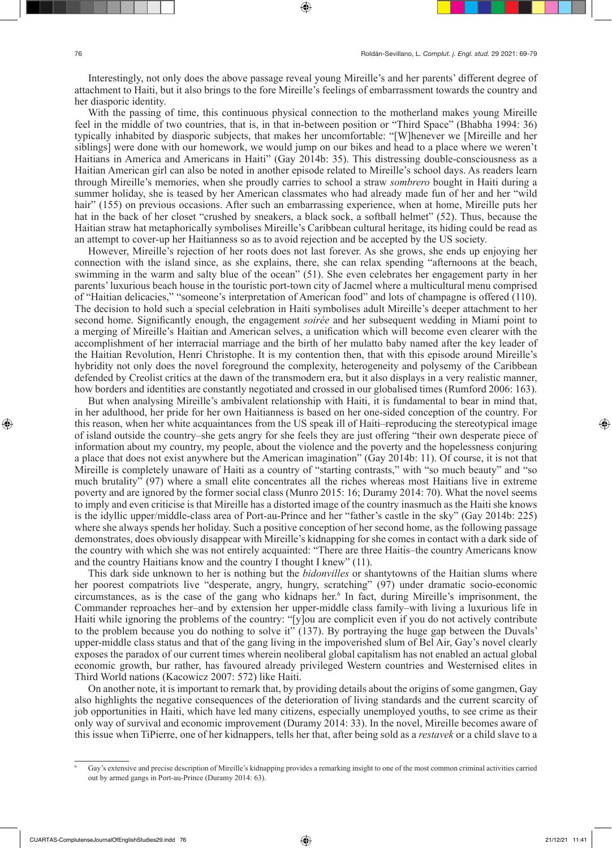Interestingly, not only does the above passage reveal young Mireille's and her parents' different degree of attachment to Haiti, but it also brings to the fore Mireille's feelings of embarrassment towards the country and her diasporic identity.

With the passing of time, this continuous physical connection to the motherland makes young Mireille feel in the middle of two countries, that is, in that in-between position or "Third Space" (Bhabha 1994: 36) typically inhabited by diasporic subjects, that makes her uncomfortable: "[W]henever we [Mireille and her siblings] were done with our homework, we would jump on our bikes and head to a place where we weren't Haitians in America and Americans in Haiti" (Gay 2014b: 35). This distressing double-consciousness as a Haitian American girl can also be noted in another episode related to Mireille's school days. As readers learn through Mireille's memories, when she proudly carries to school a straw *sombrero* bought in Haiti during a summer holiday, she is teased by her American classmates who had already made fun of her and her "wild hair" (155) on previous occasions. After such an embarrassing experience, when at home, Mireille puts her hat in the back of her closet "crushed by sneakers, a black sock, a softball helmet" (52). Thus, because the Haitian straw hat metaphorically symbolises Mireille's Caribbean cultural heritage, its hiding could be read as an attempt to cover-up her Haitianness so as to avoid rejection and be accepted by the US society.

However, Mireille's rejection of her roots does not last forever. As she grows, she ends up enjoying her connection with the island since, as she explains, there, she can relax spending "afternoons at the beach, swimming in the warm and salty blue of the ocean" (51). She even celebrates her engagement party in her parents' luxurious beach house in the touristic port-town city of Jacmel where a multicultural menu comprised of "Haitian delicacies," "someone's interpretation of American food" and lots of champagne is offered (110). The decision to hold such a special celebration in Haiti symbolises adult Mireille's deeper attachment to her second home. Significantly enough, the engagement *soirée* and her subsequent wedding in Miami point to a merging of Mireille's Haitian and American selves, a unification which will become even clearer with the accomplishment of her interracial marriage and the birth of her mulatto baby named after the key leader of the Haitian Revolution, Henri Christophe. It is my contention then, that with this episode around Mireille's hybridity not only does the novel foreground the complexity, heterogeneity and polysemy of the Caribbean defended by Creolist critics at the dawn of the transmodern era, but it also displays in a very realistic manner, how borders and identities are constantly negotiated and crossed in our globalised times (Rumford 2006: 163).

But when analysing Mireille's ambivalent relationship with Haiti, it is fundamental to bear in mind that, in her adulthood, her pride for her own Haitianness is based on her one-sided conception of the country. For this reason, when her white acquaintances from the US speak ill of Haiti–reproducing the stereotypical image of island outside the country–she gets angry for she feels they are just offering "their own desperate piece of information about my country, my people, about the violence and the poverty and the hopelessness conjuring a place that does not exist anywhere but the American imagination" (Gay 2014b: 11). Of course, it is not that Mireille is completely unaware of Haiti as a country of "starting contrasts," with "so much beauty" and "so much brutality" (97) where a small elite concentrates all the riches whereas most Haitians live in extreme poverty and are ignored by the former social class (Munro 2015: 16; Duramy 2014: 70). What the novel seems to imply and even criticise is that Mireille has a distorted image of the country inasmuch as the Haiti she knows is the idyllic upper/middle-class area of Port-au-Prince and her "father's castle in the sky" (Gay 2014b: 225) where she always spends her holiday. Such a positive conception of her second home, as the following passage demonstrates, does obviously disappear with Mireille's kidnapping for she comes in contact with a dark side of the country with which she was not entirely acquainted: "There are three Haitis–the country Americans know and the country Haitians know and the country I thought I knew" (11).

This dark side unknown to her is nothing but the *bidonvilles* or shantytowns of the Haitian slums where her poorest compatriots live "desperate, angry, hungry, scratching" (97) under dramatic socio-economic circumstances, as is the case of the gang who kidnaps her.<sup>6</sup> In fact, during Mireille's imprisonment, the Commander reproaches her–and by extension her upper-middle class family–with living a luxurious life in Haiti while ignoring the problems of the country: "[y]ou are complicit even if you do not actively contribute to the problem because you do nothing to solve it" (137). By portraying the huge gap between the Duvals' upper-middle class status and that of the gang living in the impoverished slum of Bel Air, Gay's novel clearly exposes the paradox of our current times wherein neoliberal global capitalism has not enabled an actual global economic growth, bur rather, has favoured already privileged Western countries and Westernised elites in Third World nations (Kacowicz 2007: 572) like Haiti.

On another note, it is important to remark that, by providing details about the origins of some gangmen, Gay also highlights the negative consequences of the deterioration of living standards and the current scarcity of job opportunities in Haiti, which have led many citizens, especially unemployed youths, to see crime as their only way of survival and economic improvement (Duramy 2014: 33). In the novel, Mireille becomes aware of this issue when TiPierre, one of her kidnappers, tells her that, after being sold as a *restavek* or a child slave to a

<sup>6</sup> Gay's extensive and precise description of Mireille's kidnapping provides a remarking insight to one of the most common criminal activities carried out by armed gangs in Port-au-Prince (Duramy 2014: 63).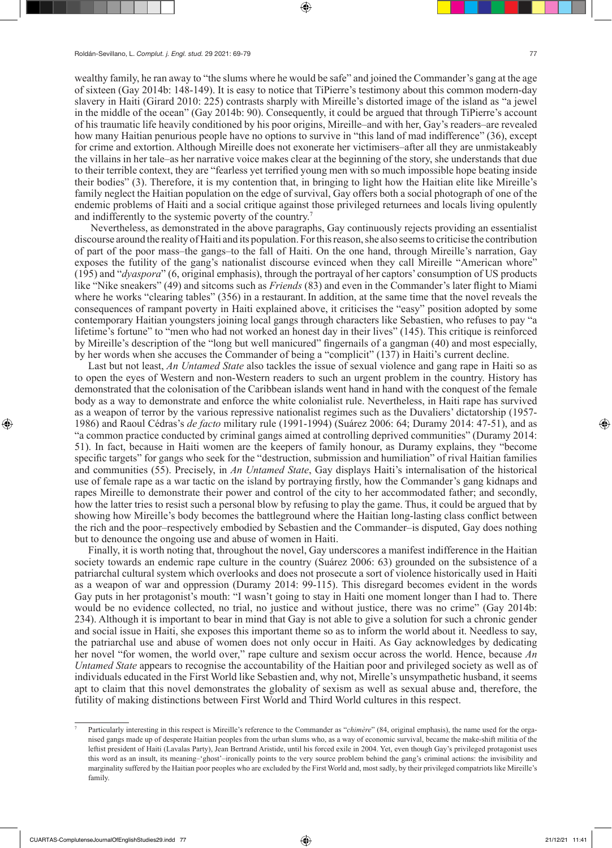wealthy family, he ran away to "the slums where he would be safe" and joined the Commander's gang at the age of sixteen (Gay 2014b: 148-149). It is easy to notice that TiPierre's testimony about this common modern-day slavery in Haiti (Girard 2010: 225) contrasts sharply with Mireille's distorted image of the island as "a jewel in the middle of the ocean" (Gay 2014b: 90). Consequently, it could be argued that through TiPierre's account of his traumatic life heavily conditioned by his poor origins, Mireille–and with her, Gay's readers–are revealed how many Haitian penurious people have no options to survive in "this land of mad indifference" (36), except for crime and extortion. Although Mireille does not exonerate her victimisers–after all they are unmistakeably the villains in her tale–as her narrative voice makes clear at the beginning of the story, she understands that due to their terrible context, they are "fearless yet terrified young men with so much impossible hope beating inside their bodies" (3). Therefore, it is my contention that, in bringing to light how the Haitian elite like Mireille's family neglect the Haitian population on the edge of survival, Gay offers both a social photograph of one of the endemic problems of Haiti and a social critique against those privileged returnees and locals living opulently and indifferently to the systemic poverty of the country.7

 Nevertheless, as demonstrated in the above paragraphs, Gay continuously rejects providing an essentialist discourse around the reality of Haiti and its population. For this reason, she also seems to criticise the contribution of part of the poor mass–the gangs–to the fall of Haiti. On the one hand, through Mireille's narration, Gay exposes the futility of the gang's nationalist discourse evinced when they call Mireille "American whore" (195) and "*dyaspora*" (6, original emphasis), through the portrayal of her captors' consumption of US products like "Nike sneakers" (49) and sitcoms such as *Friends* (83) and even in the Commander's later flight to Miami where he works "clearing tables" (356) in a restaurant. In addition, at the same time that the novel reveals the consequences of rampant poverty in Haiti explained above, it criticises the "easy" position adopted by some contemporary Haitian youngsters joining local gangs through characters like Sebastien, who refuses to pay "a lifetime's fortune" to "men who had not worked an honest day in their lives" (145). This critique is reinforced by Mireille's description of the "long but well manicured" fingernails of a gangman (40) and most especially, by her words when she accuses the Commander of being a "complicit" (137) in Haiti's current decline.

Last but not least, *An Untamed State* also tackles the issue of sexual violence and gang rape in Haiti so as to open the eyes of Western and non-Western readers to such an urgent problem in the country. History has demonstrated that the colonisation of the Caribbean islands went hand in hand with the conquest of the female body as a way to demonstrate and enforce the white colonialist rule. Nevertheless, in Haiti rape has survived as a weapon of terror by the various repressive nationalist regimes such as the Duvaliers' dictatorship (1957- 1986) and Raoul Cédras's *de facto* military rule (1991-1994) (Suárez 2006: 64; Duramy 2014: 47-51), and as "a common practice conducted by criminal gangs aimed at controlling deprived communities" (Duramy 2014: 51). In fact, because in Haiti women are the keepers of family honour, as Duramy explains, they "become specific targets" for gangs who seek for the "destruction, submission and humiliation" of rival Haitian families and communities (55). Precisely, in *An Untamed State*, Gay displays Haiti's internalisation of the historical use of female rape as a war tactic on the island by portraying firstly, how the Commander's gang kidnaps and rapes Mireille to demonstrate their power and control of the city to her accommodated father; and secondly, how the latter tries to resist such a personal blow by refusing to play the game. Thus, it could be argued that by showing how Mireille's body becomes the battleground where the Haitian long-lasting class conflict between the rich and the poor–respectively embodied by Sebastien and the Commander–is disputed, Gay does nothing but to denounce the ongoing use and abuse of women in Haiti.

Finally, it is worth noting that, throughout the novel, Gay underscores a manifest indifference in the Haitian society towards an endemic rape culture in the country (Suárez 2006: 63) grounded on the subsistence of a patriarchal cultural system which overlooks and does not prosecute a sort of violence historically used in Haiti as a weapon of war and oppression (Duramy 2014: 99-115). This disregard becomes evident in the words Gay puts in her protagonist's mouth: "I wasn't going to stay in Haiti one moment longer than I had to. There would be no evidence collected, no trial, no justice and without justice, there was no crime" (Gay 2014b: 234). Although it is important to bear in mind that Gay is not able to give a solution for such a chronic gender and social issue in Haiti, she exposes this important theme so as to inform the world about it. Needless to say, the patriarchal use and abuse of women does not only occur in Haiti. As Gay acknowledges by dedicating her novel "for women, the world over," rape culture and sexism occur across the world. Hence, because An *Untamed State* appears to recognise the accountability of the Haitian poor and privileged society as well as of individuals educated in the First World like Sebastien and, why not, Mirelle's unsympathetic husband, it seems apt to claim that this novel demonstrates the globality of sexism as well as sexual abuse and, therefore, the futility of making distinctions between First World and Third World cultures in this respect.

<sup>7</sup> Particularly interesting in this respect is Mireille's reference to the Commander as "*chimère*" (84, original emphasis), the name used for the organised gangs made up of desperate Haitian peoples from the urban slums who, as a way of economic survival, became the make-shift militia of the leftist president of Haiti (Lavalas Party), Jean Bertrand Aristide, until his forced exile in 2004. Yet, even though Gay's privileged protagonist uses this word as an insult, its meaning–'ghost'–ironically points to the very source problem behind the gang's criminal actions: the invisibility and marginality suffered by the Haitian poor peoples who are excluded by the First World and, most sadly, by their privileged compatriots like Mireille's family.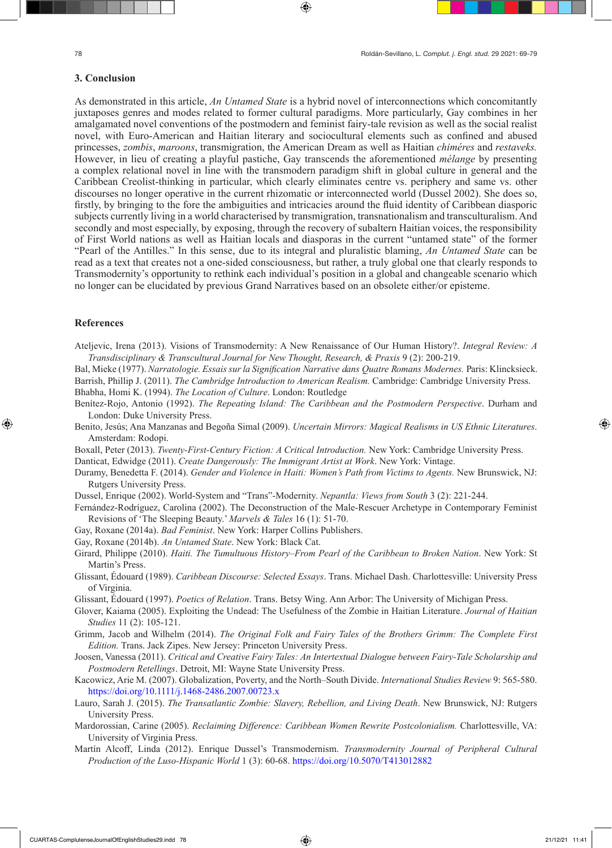### **3. Conclusion**

As demonstrated in this article, *An Untamed State* is a hybrid novel of interconnections which concomitantly juxtaposes genres and modes related to former cultural paradigms. More particularly, Gay combines in her amalgamated novel conventions of the postmodern and feminist fairy-tale revision as well as the social realist novel, with Euro-American and Haitian literary and sociocultural elements such as confined and abused princesses, *zombis*, *maroons*, transmigration, the American Dream as well as Haitian *chiméres* and *restaveks.*  However, in lieu of creating a playful pastiche, Gay transcends the aforementioned *mélange* by presenting a complex relational novel in line with the transmodern paradigm shift in global culture in general and the Caribbean Creolist-thinking in particular, which clearly eliminates centre vs. periphery and same vs. other discourses no longer operative in the current rhizomatic or interconnected world (Dussel 2002). She does so, firstly, by bringing to the fore the ambiguities and intricacies around the fluid identity of Caribbean diasporic subjects currently living in a world characterised by transmigration, transnationalism and transculturalism. And secondly and most especially, by exposing, through the recovery of subaltern Haitian voices, the responsibility of First World nations as well as Haitian locals and diasporas in the current "untamed state" of the former "Pearl of the Antilles." In this sense, due to its integral and pluralistic blaming, *An Untamed State* can be read as a text that creates not a one-sided consciousness, but rather, a truly global one that clearly responds to Transmodernity's opportunity to rethink each individual's position in a global and changeable scenario which no longer can be elucidated by previous Grand Narratives based on an obsolete either/or episteme.

#### **References**

Ateljevic, Irena (2013). Visions of Transmodernity: A New Renaissance of Our Human History?. *Integral Review: A Transdisciplinary & Transcultural Journal for New Thought, Research, & Praxis* 9 (2): 200-219.

Bal, Mieke (1977). *Narratologie. Essais sur la Signification Narrative dans Quatre Romans Modernes.* Paris: Klincksieck. Barrish, Phillip J. (2011). *The Cambridge Introduction to American Realism.* Cambridge: Cambridge University Press.

Bhabha, Homi K. (1994). *The Location of Culture*. London: Routledge

- Benítez-Rojo, Antonio (1992). *The Repeating Island: The Caribbean and the Postmodern Perspective*. Durham and London: Duke University Press.
- Benito, Jesús; Ana Manzanas and Begoña Simal (2009). *Uncertain Mirrors: Magical Realisms in US Ethnic Literatures*. Amsterdam: Rodopi.
- Boxall, Peter (2013). *Twenty-First-Century Fiction: A Critical Introduction.* New York: Cambridge University Press.

Danticat, Edwidge (2011). *Create Dangerously: The Immigrant Artist at Work*. New York: Vintage.

- Duramy, Benedetta F. (2014). *Gender and Violence in Haiti: Women's Path from Victims to Agents.* New Brunswick, NJ: Rutgers University Press.
- Dussel, Enrique (2002). World-System and "Trans"-Modernity. *Nepantla: Views from South* 3 (2): 221-244.
- Fernández-Rodríguez, Carolina (2002). The Deconstruction of the Male-Rescuer Archetype in Contemporary Feminist Revisions of 'The Sleeping Beauty.' *Marvels & Tales* 16 (1): 51-70.
- Gay, Roxane (2014a). *Bad Feminist*. New York: Harper Collins Publishers.
- Gay, Roxane (2014b). *An Untamed State*. New York: Black Cat.
- Girard, Philippe (2010). *Haiti. The Tumultuous History–From Pearl of the Caribbean to Broken Nation*. New York: St Martin's Press.
- Glissant, Édouard (1989). *Caribbean Discourse: Selected Essays*. Trans. Michael Dash. Charlottesville: University Press of Virginia.
- Glissant, Édouard (1997). *Poetics of Relation*. Trans. Betsy Wing. Ann Arbor: The University of Michigan Press.
- Glover, Kaiama (2005). Exploiting the Undead: The Usefulness of the Zombie in Haitian Literature. *Journal of Haitian Studies* 11 (2): 105-121.
- Grimm, Jacob and Wilhelm (2014). *The Original Folk and Fairy Tales of the Brothers Grimm: The Complete First Edition.* Trans. Jack Zipes. New Jersey: Princeton University Press.
- Joosen, Vanessa (2011). *Critical and Creative Fairy Tales: An Intertextual Dialogue between Fairy-Tale Scholarship and Postmodern Retellings*. Detroit, MI: Wayne State University Press.
- Kacowicz, Arie M. (2007). Globalization, Poverty, and the North–South Divide. *International Studies Review* 9: 565-580. https://doi.org/10.1111/j.1468-2486.2007.00723.x
- Lauro, Sarah J. (2015). *The Transatlantic Zombie: Slavery, Rebellion, and Living Death*. New Brunswick, NJ: Rutgers University Press.
- Mardorossian, Carine (2005). *Reclaiming Difference: Caribbean Women Rewrite Postcolonialism.* Charlottesville, VA: University of Virginia Press.
- Martín Alcoff, Linda (2012). Enrique Dussel's Transmodernism. *Transmodernity Journal of Peripheral Cultural Production of the Luso-Hispanic World* 1 (3): 60-68. https://doi.org/10.5070/T413012882